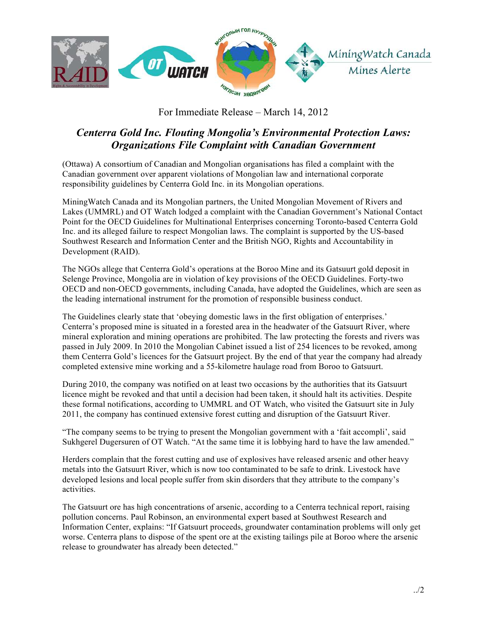

## For Immediate Release – March 14, 2012

## *Centerra Gold Inc. Flouting Mongolia's Environmental Protection Laws: Organizations File Complaint with Canadian Government*

(Ottawa) A consortium of Canadian and Mongolian organisations has filed a complaint with the Canadian government over apparent violations of Mongolian law and international corporate responsibility guidelines by Centerra Gold Inc. in its Mongolian operations.

MiningWatch Canada and its Mongolian partners, the United Mongolian Movement of Rivers and Lakes (UMMRL) and OT Watch lodged a complaint with the Canadian Government's National Contact Point for the OECD Guidelines for Multinational Enterprises concerning Toronto-based Centerra Gold Inc. and its alleged failure to respect Mongolian laws. The complaint is supported by the US-based Southwest Research and Information Center and the British NGO, Rights and Accountability in Development (RAID).

The NGOs allege that Centerra Gold's operations at the Boroo Mine and its Gatsuurt gold deposit in Selenge Province, Mongolia are in violation of key provisions of the OECD Guidelines. Forty-two OECD and non-OECD governments, including Canada, have adopted the Guidelines, which are seen as the leading international instrument for the promotion of responsible business conduct.

The Guidelines clearly state that 'obeying domestic laws in the first obligation of enterprises.' Centerra's proposed mine is situated in a forested area in the headwater of the Gatsuurt River, where mineral exploration and mining operations are prohibited. The law protecting the forests and rivers was passed in July 2009. In 2010 the Mongolian Cabinet issued a list of 254 licences to be revoked, among them Centerra Gold's licences for the Gatsuurt project. By the end of that year the company had already completed extensive mine working and a 55-kilometre haulage road from Boroo to Gatsuurt.

During 2010, the company was notified on at least two occasions by the authorities that its Gatsuurt licence might be revoked and that until a decision had been taken, it should halt its activities. Despite these formal notifications, according to UMMRL and OT Watch, who visited the Gatsuurt site in July 2011, the company has continued extensive forest cutting and disruption of the Gatsuurt River.

"The company seems to be trying to present the Mongolian government with a 'fait accompli', said Sukhgerel Dugersuren of OT Watch. "At the same time it is lobbying hard to have the law amended."

Herders complain that the forest cutting and use of explosives have released arsenic and other heavy metals into the Gatsuurt River, which is now too contaminated to be safe to drink. Livestock have developed lesions and local people suffer from skin disorders that they attribute to the company's activities.

The Gatsuurt ore has high concentrations of arsenic, according to a Centerra technical report, raising pollution concerns. Paul Robinson, an environmental expert based at Southwest Research and Information Center, explains: "If Gatsuurt proceeds, groundwater contamination problems will only get worse. Centerra plans to dispose of the spent ore at the existing tailings pile at Boroo where the arsenic release to groundwater has already been detected."